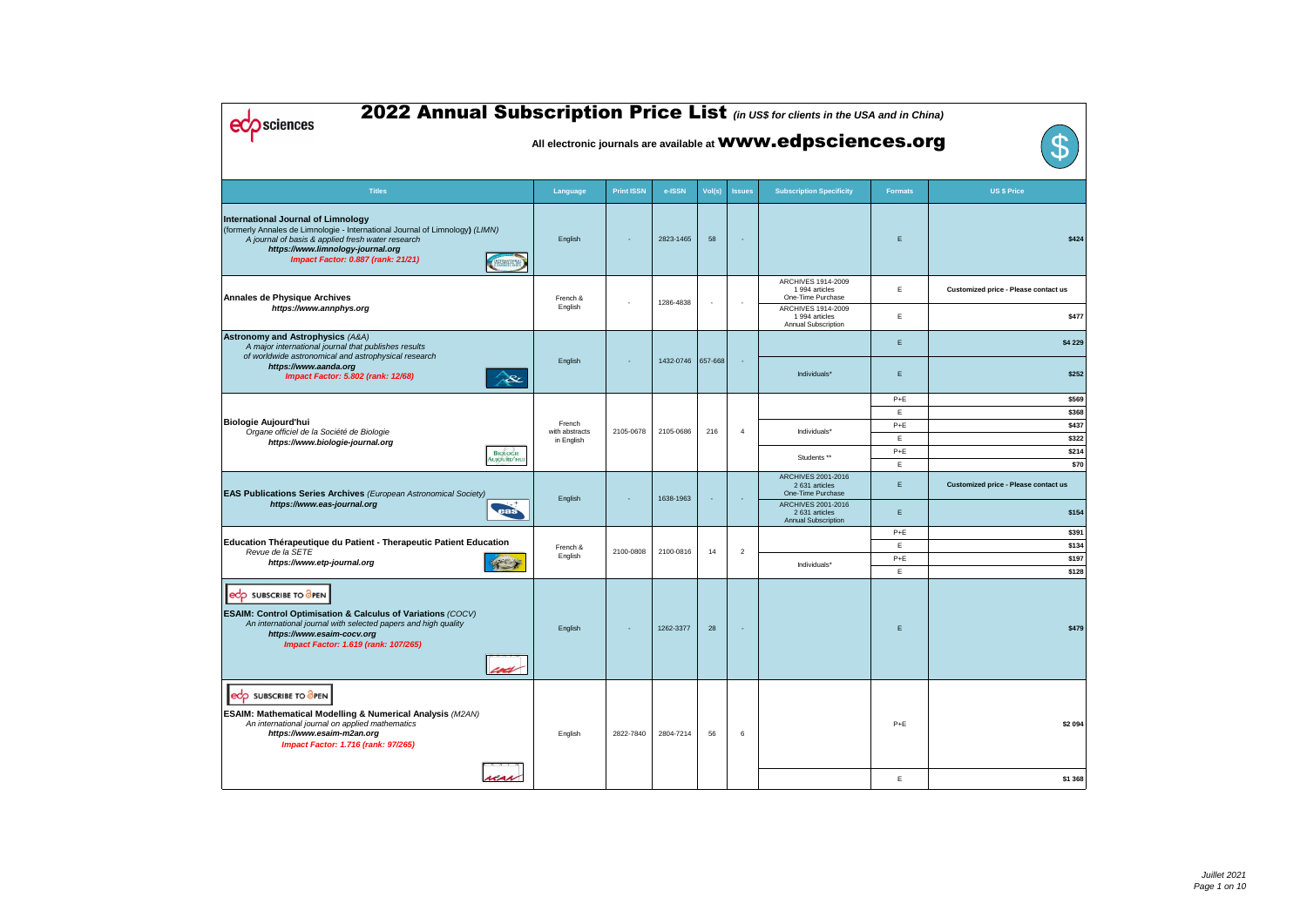| 2022 Annual Subscription Price List (in US\$ for clients in the USA and in China)<br><b>Sciences</b>                                                                                                                                                             |                     |                   |           |                          |                | All electronic journals are available at <b>WWW.edpsciences.org</b> |                |                                             |
|------------------------------------------------------------------------------------------------------------------------------------------------------------------------------------------------------------------------------------------------------------------|---------------------|-------------------|-----------|--------------------------|----------------|---------------------------------------------------------------------|----------------|---------------------------------------------|
|                                                                                                                                                                                                                                                                  |                     |                   |           |                          |                |                                                                     |                |                                             |
| <b>Titles</b>                                                                                                                                                                                                                                                    | Language            | <b>Print ISSN</b> | e-ISSN    | Vol(s)                   | <b>Issues</b>  | <b>Subscription Specificity</b>                                     | <b>Formats</b> | <b>US \$ Price</b>                          |
| <b>International Journal of Limnology</b><br>(formerly Annales de Limnologie - International Journal of Limnology) (LIMN)<br>A journal of basis & applied fresh water research<br>https://www.limnology-journal.org<br><b>Impact Factor: 0.887 (rank: 21/21)</b> | English             |                   | 2823-1465 | 58                       |                |                                                                     | E              | \$424                                       |
| <b>Annales de Physique Archives</b>                                                                                                                                                                                                                              | French &            |                   | 1286-4838 | $\overline{\phantom{a}}$ |                | ARCHIVES 1914-2009<br>1 994 articles<br>One-Time Purchase           | E              | Customized price - Please contact us        |
| https://www.annphys.org                                                                                                                                                                                                                                          | English             |                   |           |                          |                | ARCHIVES 1914-2009<br>1 994 articles<br><b>Annual Subscription</b>  | E              | \$477                                       |
| <b>Astronomy and Astrophysics (A&amp;A)</b><br>A major international journal that publishes results<br>of worldwide astronomical and astrophysical research                                                                                                      |                     |                   |           |                          |                |                                                                     | E              | \$4 229                                     |
| https://www.aanda.org<br>Impact Factor: 5.802 (rank: 12/68)<br>$\infty$                                                                                                                                                                                          | English             |                   | 1432-0746 | 657-668                  |                | Individuals*                                                        | $\mathsf E$    | \$252                                       |
|                                                                                                                                                                                                                                                                  |                     |                   |           |                          |                |                                                                     | $P+E$          | \$569                                       |
| <b>Biologie Aujourd'hui</b>                                                                                                                                                                                                                                      | French              |                   |           |                          |                |                                                                     | E              | \$368                                       |
| Organe officiel de la Société de Biologie                                                                                                                                                                                                                        | with abstracts      | 2105-0678         | 2105-0686 | 216                      | $\overline{4}$ | Individuals*                                                        | $P+E$<br>E     | \$437<br>\$322                              |
| https://www.biologie-journal.org<br><b>BIOLOGIE</b>                                                                                                                                                                                                              | in English          |                   |           |                          |                |                                                                     | $P+E$          | \$214                                       |
| Aujourd'hu                                                                                                                                                                                                                                                       |                     |                   |           |                          |                | Students **                                                         | E              | \$70                                        |
| <b>EAS Publications Series Archives</b> (European Astronomical Society)                                                                                                                                                                                          |                     |                   |           |                          |                | ARCHIVES 2001-2016<br>2 631 articles<br>One-Time Purchase           | E              | <b>Customized price - Please contact us</b> |
| https://www.eas-journal.org<br>eas                                                                                                                                                                                                                               | English             |                   | 1638-1963 |                          |                | ARCHIVES 2001-2016<br>2 631 articles<br><b>Annual Subscription</b>  | E              | \$154                                       |
|                                                                                                                                                                                                                                                                  |                     |                   |           |                          |                |                                                                     | $P+E$          | \$391                                       |
| Education Thérapeutique du Patient - Therapeutic Patient Education<br>Revue de la SETE                                                                                                                                                                           | French &<br>English | 2100-0808         | 2100-0816 | 14                       | $\overline{2}$ |                                                                     | E              | \$134                                       |
| https://www.etp-journal.org                                                                                                                                                                                                                                      |                     |                   |           |                          |                | Individuals*                                                        | $P+E$<br>E     | \$197<br>\$128                              |
| <b>eCO</b> SUBSCRIBE TO OPEN<br><b>ESAIM: Control Optimisation &amp; Calculus of Variations (COCV)</b><br>An international journal with selected papers and high quality<br>https://www.esaim-cocv.org<br>Impact Factor: 1.619 (rank: 107/265)<br>coci           | English             |                   | 1262-3377 | 28                       | $\blacksquare$ |                                                                     | E              | \$479                                       |
| edp SUBSCRIBE TO OPEN<br><b>ESAIM: Mathematical Modelling &amp; Numerical Analysis (M2AN)</b><br>An international journal on applied mathematics<br>https://www.esaim-m2an.org<br><b>Impact Factor: 1.716 (rank: 97/265)</b><br>nas                              | English             | 2822-7840         | 2804-7214 | 56                       | 6              |                                                                     | $P+E$<br>Е     | \$2 094<br>\$1 368                          |
|                                                                                                                                                                                                                                                                  |                     |                   |           |                          |                |                                                                     |                |                                             |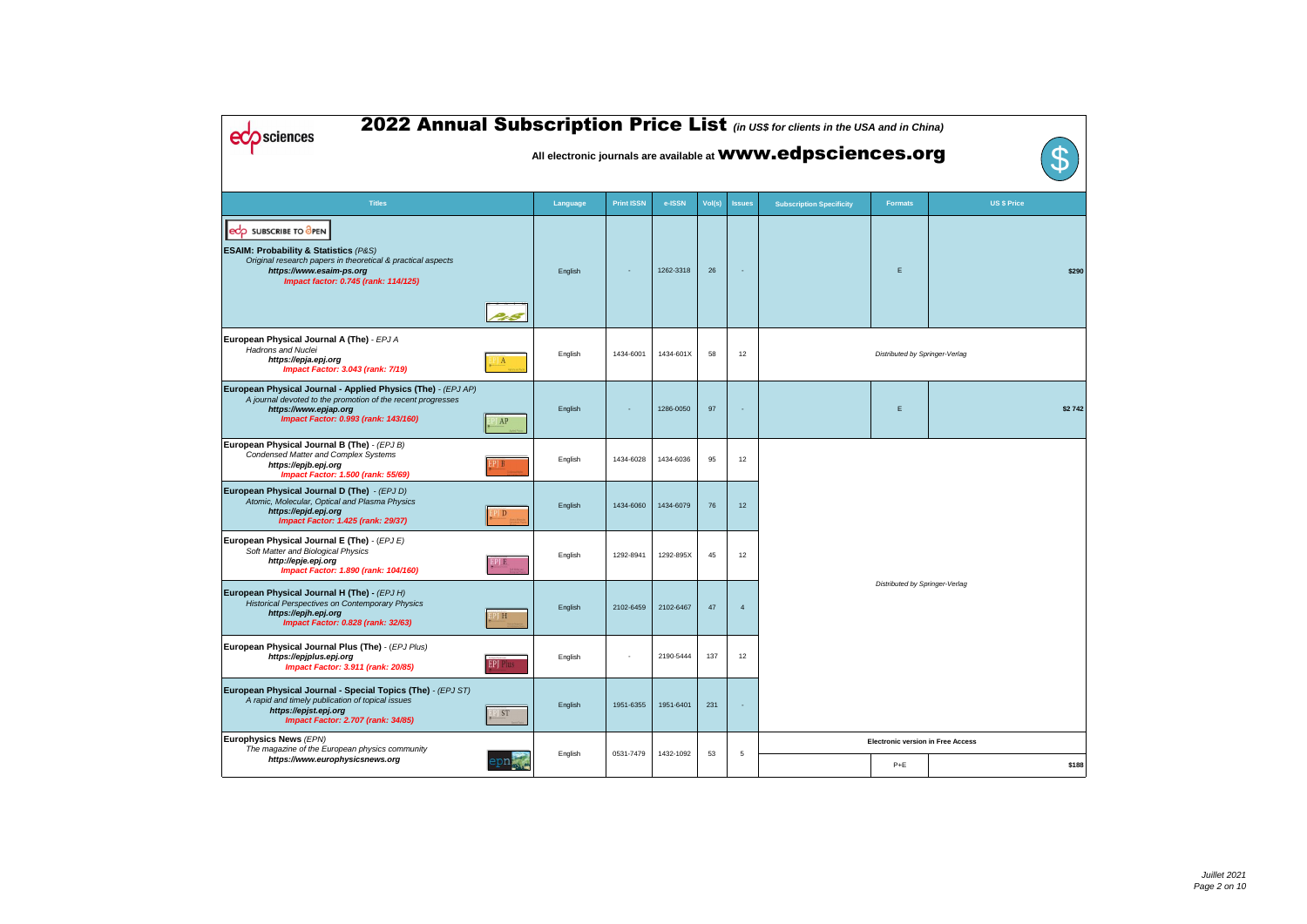| 2022 Annual Subscription Price List (in US\$ for clients in the USA and in China)<br>sciences                                                                                                                    |                               |          |                   |           |        |                | All electronic journals are available at <b>WWW.edpsciences.org</b> |                                          | ${\mathbb S}$      |
|------------------------------------------------------------------------------------------------------------------------------------------------------------------------------------------------------------------|-------------------------------|----------|-------------------|-----------|--------|----------------|---------------------------------------------------------------------|------------------------------------------|--------------------|
| <b>Titles</b>                                                                                                                                                                                                    |                               | Language | <b>Print ISSN</b> | e-ISSN    | Vol(s) | <b>Issues</b>  | <b>Subscription Specificity</b>                                     | <b>Formats</b>                           | <b>US \$ Price</b> |
| edp SUBSCRIBE TO OPEN<br><b>ESAIM: Probability &amp; Statistics (P&amp;S)</b><br>Original research papers in theoretical & practical aspects<br>https://www.esaim-ps.org<br>Impact factor: 0.745 (rank: 114/125) |                               | English  |                   | 1262-3318 | 26     |                |                                                                     | Е                                        |                    |
| European Physical Journal A (The) - EPJ A<br><b>Hadrons and Nuclei</b><br>https://epja.epj.org<br><b>Impact Factor: 3.043 (rank: 7/19)</b>                                                                       | $\mathbf{A}$                  | English  | 1434-6001         | 1434-601X | 58     | 12             |                                                                     | Distributed by Springer-Verlag           |                    |
| European Physical Journal - Applied Physics (The) - (EPJ AP)<br>A journal devoted to the promotion of the recent progresses<br>https://www.epjap.org<br>Impact Factor: 0.993 (rank: 143/160)                     | $\overline{A}$ $\overline{P}$ | English  |                   | 1286-0050 | 97     |                |                                                                     | E                                        |                    |
| European Physical Journal B (The) - (EPJ B)<br><b>Condensed Matter and Complex Systems</b><br>https://epjb.epj.org<br>Impact Factor: 1.500 (rank: 55/69)                                                         | 1 B                           | English  | 1434-6028         | 1434-6036 | 95     | 12             |                                                                     |                                          |                    |
| European Physical Journal D (The) - (EPJ D)<br>Atomic, Molecular, Optical and Plasma Physics<br>https://epjd.epj.org<br><b>Impact Factor: 1.425 (rank: 29/37)</b>                                                | $P\parallel D$                | English  | 1434-6060         | 1434-6079 | 76     | 12             |                                                                     |                                          |                    |
| European Physical Journal E (The) - (EPJ E)<br>Soft Matter and Biological Physics<br>http://epje.epj.org<br>Impact Factor: 1.890 (rank: 104/160)                                                                 | PJ E                          | English  | 1292-8941         | 1292-895X | 45     | 12             |                                                                     |                                          |                    |
| European Physical Journal H (The) - (EPJ H)<br><b>Historical Perspectives on Contemporary Physics</b><br>https://epjh.epj.org<br><b>Impact Factor: 0.828 (rank: 32/63)</b>                                       | "J H                          | English  | 2102-6459         | 2102-6467 | 47     | $\overline{4}$ |                                                                     | Distributed by Springer-Verlag           |                    |
| European Physical Journal Plus (The) - (EPJ Plus)<br>https://epjplus.epj.org<br><b>Impact Factor: 3.911 (rank: 20/85)</b>                                                                                        | <b>EPJ</b> Plus               | English  |                   | 2190-5444 | 137    | 12             |                                                                     |                                          |                    |
| European Physical Journal - Special Topics (The) - (EPJ ST)<br>A rapid and timely publication of topical issues<br>https://epjst.epj.org<br><b>Impact Factor: 2.707 (rank: 34/85)</b>                            | $\frac{1}{5}$                 | English  | 1951-6355         | 1951-6401 | 231    |                |                                                                     |                                          |                    |
| Europhysics News (EPN)<br>The magazine of the European physics community                                                                                                                                         |                               | English  | 0531-7479         | 1432-1092 | 53     | 5              |                                                                     | <b>Electronic version in Free Access</b> |                    |
| https://www.europhysicsnews.org                                                                                                                                                                                  |                               |          |                   |           |        |                |                                                                     | $P+E$                                    |                    |

| d in China)  |                           |              |
|--------------|---------------------------|--------------|
| s.org        |                           | $\mathbf{S}$ |
| <u>rmats</u> | <b>US \$ Price</b>        |              |
| E            |                           | \$290        |
|              | outed by Springer-Verlag  |              |
| Ε            |                           | \$2742       |
|              | outed by Springer-Verlag  |              |
|              | ic version in Free Access |              |
| P+E          |                           | \$188        |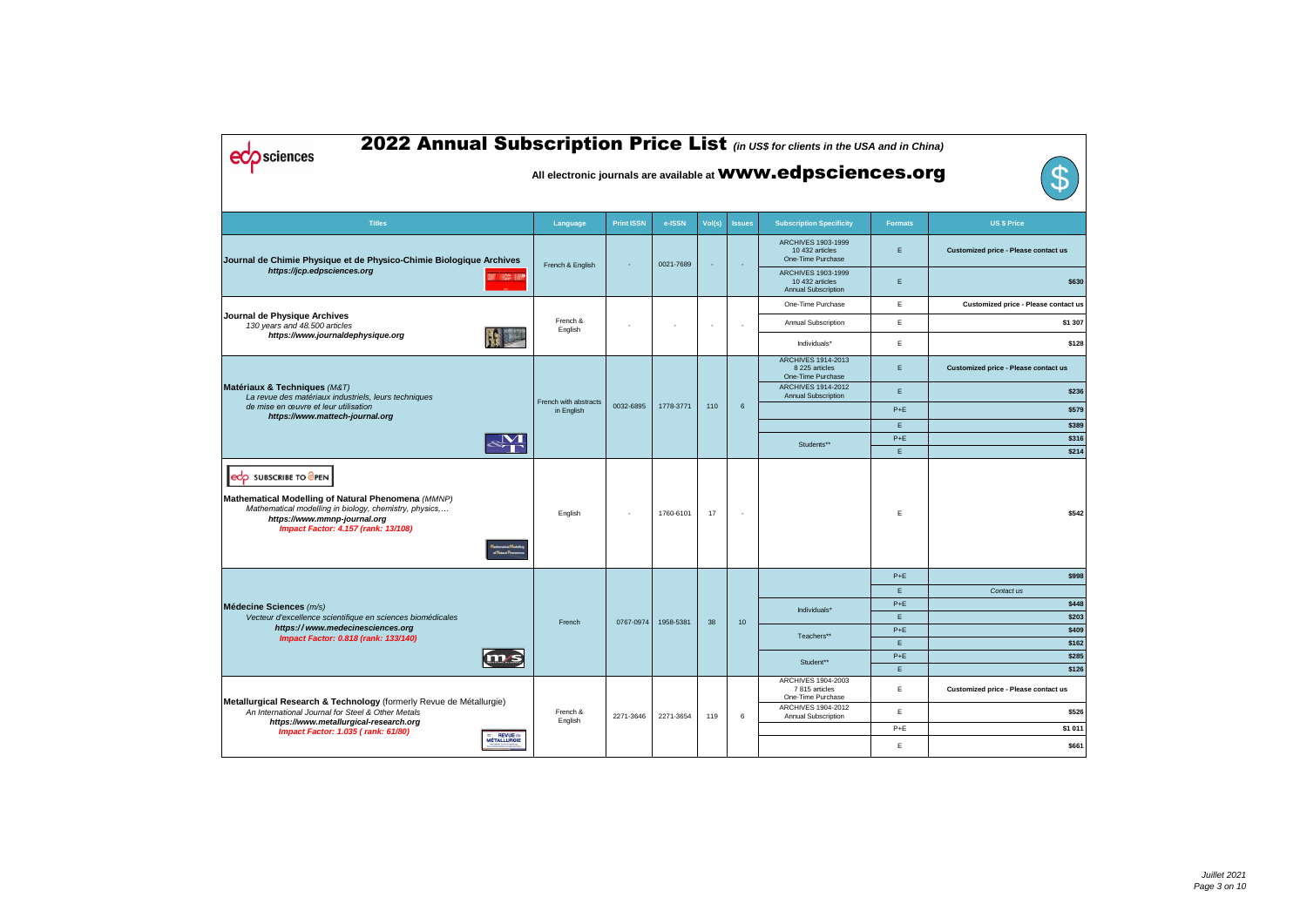| 2022 Annual Subscription Price List (in US\$ for clients in the USA and in China)<br><b>Sciences</b><br>All electronic journals are available at <b>WWW.edpsciences.org</b>                                                             |                                     |                   |                       |                          |               |                                                                     |                |                                      |  |  |  |
|-----------------------------------------------------------------------------------------------------------------------------------------------------------------------------------------------------------------------------------------|-------------------------------------|-------------------|-----------------------|--------------------------|---------------|---------------------------------------------------------------------|----------------|--------------------------------------|--|--|--|
| <b>Titles</b>                                                                                                                                                                                                                           | Language                            | <b>Print ISSN</b> | e-ISSN                | Vol(s)                   | <b>Issues</b> | <b>Subscription Specificity</b>                                     | <b>Formats</b> | <b>US \$ Price</b>                   |  |  |  |
| Journal de Chimie Physique et de Physico-Chimie Biologique Archives                                                                                                                                                                     | French & English                    |                   | 0021-7689             |                          |               | ARCHIVES 1903-1999<br>10 432 articles<br>One-Time Purchase          | E              | Customized price - Please contact us |  |  |  |
| https://jcp.edpsciences.org<br><b>THE WAS THE</b>                                                                                                                                                                                       |                                     |                   |                       |                          |               | ARCHIVES 1903-1999<br>10 432 articles<br><b>Annual Subscription</b> | Ε              | \$630                                |  |  |  |
|                                                                                                                                                                                                                                         |                                     |                   |                       |                          |               | One-Time Purchase                                                   | E              | Customized price - Please contact us |  |  |  |
| Journal de Physique Archives<br>130 years and 48.500 articles                                                                                                                                                                           | French &<br>English                 |                   |                       | $\overline{\phantom{a}}$ |               | <b>Annual Subscription</b>                                          | E              | \$1 307                              |  |  |  |
| https://www.journaldephysique.org                                                                                                                                                                                                       |                                     |                   |                       |                          |               | Individuals*                                                        | Ε              | \$128                                |  |  |  |
|                                                                                                                                                                                                                                         |                                     |                   |                       |                          |               | <b>ARCHIVES 1914-2013</b><br>8 225 articles<br>One-Time Purchase    | E              | Customized price - Please contact us |  |  |  |
| Matériaux & Techniques (M&T)<br>La revue des matériaux industriels, leurs techniques                                                                                                                                                    |                                     | 0032-6895         |                       |                          |               | <b>ARCHIVES 1914-2012</b><br><b>Annual Subscription</b>             | Ε              | \$236                                |  |  |  |
| de mise en œuvre et leur utilisation<br>https://www.mattech-journal.org                                                                                                                                                                 | French with abstracts<br>in English |                   | 1778-3771             | 110                      | 6             |                                                                     | $P+E$          | \$579                                |  |  |  |
|                                                                                                                                                                                                                                         |                                     |                   |                       |                          |               |                                                                     | E              | \$389                                |  |  |  |
|                                                                                                                                                                                                                                         |                                     |                   |                       |                          |               | Students**                                                          | $P+E$<br>E     | \$316<br>\$214                       |  |  |  |
| edp SUBSCRIBE TO OPEN<br>Mathematical Modelling of Natural Phenomena (MMNP)<br>Mathematical modelling in biology, chemistry, physics,<br>https://www.mmnp-journal.org<br><b>Impact Factor: 4.157 (rank: 13/108)</b><br>of Natural Pheno | English                             |                   | 1760-6101             | 17                       |               |                                                                     | E              | \$542                                |  |  |  |
|                                                                                                                                                                                                                                         |                                     |                   |                       |                          |               |                                                                     | $P+E$          | \$998                                |  |  |  |
|                                                                                                                                                                                                                                         |                                     |                   |                       |                          |               |                                                                     | E              | Contact us                           |  |  |  |
| Médecine Sciences (m/s)<br>Vecteur d'excellence scientifique en sciences biomédicales                                                                                                                                                   |                                     |                   |                       |                          |               | Individuals*                                                        | $P+E$<br>E     | \$448<br>\$203                       |  |  |  |
| https://www.medecinesciences.org                                                                                                                                                                                                        | French                              |                   | 0767-0974   1958-5381 | 38                       | 10            |                                                                     | $P+E$          | \$409                                |  |  |  |
| Impact Factor: 0.818 (rank: 133/140)                                                                                                                                                                                                    |                                     |                   |                       |                          |               | Teachers**                                                          | E              | \$162                                |  |  |  |
| m/s                                                                                                                                                                                                                                     |                                     |                   |                       |                          |               | Student**                                                           | $P+E$          | \$285                                |  |  |  |
|                                                                                                                                                                                                                                         |                                     |                   |                       |                          |               |                                                                     | E              | \$126                                |  |  |  |
| Metallurgical Research & Technology (formerly Revue de Métallurgie)                                                                                                                                                                     |                                     |                   |                       |                          |               | ARCHIVES 1904-2003<br>7815 articles<br>One-Time Purchase            | E              | Customized price - Please contact us |  |  |  |
| An International Journal for Steel & Other Metals                                                                                                                                                                                       | French &<br>English                 | 2271-3646         | 2271-3654             | 119                      | 6             | ARCHIVES 1904-2012<br><b>Annual Subscription</b>                    | E              | \$526                                |  |  |  |
| https://www.metallurgical-research.org<br><b>Impact Factor: 1.035 (rank: 61/80)</b>                                                                                                                                                     |                                     |                   |                       |                          |               |                                                                     | $P+E$          | \$1 011                              |  |  |  |
| = REVUE de<br>MÉTALLURGIE                                                                                                                                                                                                               |                                     |                   |                       |                          |               |                                                                     | Е              | \$661                                |  |  |  |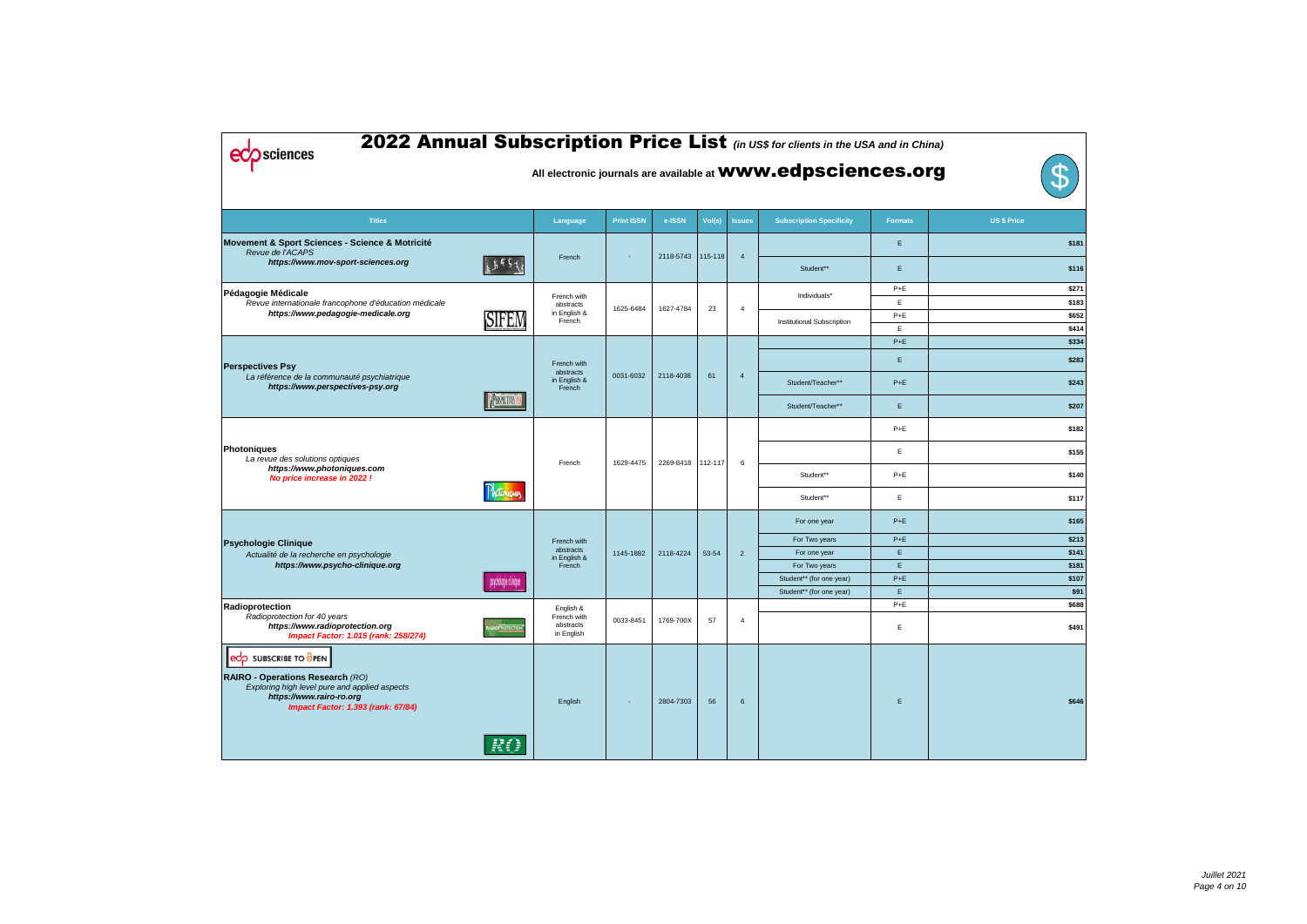| 2022 Annual Subscription Price List (in US\$ for clients in the USA and in China)<br><b>Sciences</b><br>All electronic journals are available at <b>WWW.edpsciences.org</b>         |                       |                                                     |                   |           |         |                |                                 |                |                    |  |  |
|-------------------------------------------------------------------------------------------------------------------------------------------------------------------------------------|-----------------------|-----------------------------------------------------|-------------------|-----------|---------|----------------|---------------------------------|----------------|--------------------|--|--|
| <b>Titles</b>                                                                                                                                                                       |                       | Language                                            | <b>Print ISSN</b> | e-ISSN    | Vol(s)  | <b>Issues</b>  | <b>Subscription Specificity</b> | <b>Formats</b> | <b>US \$ Price</b> |  |  |
| Movement & Sport Sciences - Science & Motricité<br>Revue de l'ACAPS<br>https://www.mov-sport-sciences.org                                                                           |                       | French                                              |                   | 2118-5743 | 115-118 | $\overline{4}$ |                                 | E              | \$181              |  |  |
|                                                                                                                                                                                     |                       |                                                     |                   |           |         |                | Student**                       | E              | \$116              |  |  |
| Pédagogie Médicale<br>Revue internationale francophone d'éducation médicale                                                                                                         |                       | French with<br>abstracts                            |                   |           |         |                | Individuals*                    | $P+E$<br>E     | \$271<br>\$183     |  |  |
| https://www.pedagogie-medicale.org                                                                                                                                                  | SIFEM                 | in English &<br>French                              | 1625-6484         | 1627-4784 | 23      | $\overline{4}$ | Institutional Subscription      | $P+E$          | \$652              |  |  |
|                                                                                                                                                                                     |                       |                                                     |                   |           |         |                |                                 | E              | \$414              |  |  |
|                                                                                                                                                                                     |                       |                                                     |                   |           |         |                |                                 | $P+E$          | \$334              |  |  |
| <b>Perspectives Psy</b>                                                                                                                                                             |                       | French with                                         |                   | 2118-4038 | 61      |                |                                 | E              | \$283              |  |  |
| La référence de la communauté psychiatrique<br>https://www.perspectives-psy.org                                                                                                     |                       | abstracts<br>in English &<br>French                 | 0031-6032         |           |         | $\overline{4}$ | Student/Teacher**               | $P+E$          | \$243              |  |  |
|                                                                                                                                                                                     | <b>PERSPECTIVES</b>   |                                                     |                   |           |         |                | Student/Teacher**               | E              | \$207              |  |  |
|                                                                                                                                                                                     |                       |                                                     |                   |           |         |                |                                 | $P+E$          | \$182              |  |  |
| Photoniques<br>La revue des solutions optiques                                                                                                                                      |                       |                                                     |                   |           |         |                |                                 | E              | \$155              |  |  |
| https://www.photoniques.com<br>No price increase in 2022 !                                                                                                                          |                       | French                                              | 1629-4475         | 2269-8418 | 112-117 | 6              | Student**                       | $P+E$          | \$140              |  |  |
|                                                                                                                                                                                     | Motoniques            |                                                     |                   |           |         |                | Student**                       | E              | \$117              |  |  |
|                                                                                                                                                                                     |                       |                                                     |                   |           |         |                | For one year                    | $P+E$          | \$165              |  |  |
| <b>Psychologie Clinique</b>                                                                                                                                                         |                       | French with                                         |                   |           |         |                | For Two years                   | $P+E$          | \$213              |  |  |
| Actualité de la recherche en psychologie                                                                                                                                            |                       | abstracts<br>in English &                           | 1145-1882         | 2118-4224 | 53-54   | $\overline{2}$ | For one year                    | E.             | \$141              |  |  |
| https://www.psycho-clinique.org                                                                                                                                                     |                       | French                                              |                   |           |         |                | For Two years                   | E.             | \$181              |  |  |
|                                                                                                                                                                                     | psychologie clinique  |                                                     |                   |           |         |                | Student** (for one year)        | $P+E$          | \$107              |  |  |
|                                                                                                                                                                                     |                       |                                                     |                   |           |         |                | Student** (for one year)        | E.             | \$91               |  |  |
| Radioprotection<br>Radioprotection for 40 years<br>https://www.radioprotection.org<br>Impact Factor: 1.015 (rank: 258/274)                                                          | <b>IDIOPROTECTION</b> | English &<br>French with<br>abstracts<br>in English | 0033-8451         | 1769-700X | 57      | $\overline{4}$ |                                 | $P+E$<br>E     | \$688<br>\$491     |  |  |
| edp SUBSCRIBE TO OPEN<br>RAIRO - Operations Research (RO)<br>Exploring high level pure and applied aspects<br>https://www.rairo-ro.org<br><b>Impact Factor: 1.393 (rank: 67/84)</b> | RO.                   | English                                             |                   | 2804-7303 | 56      | $6\phantom{1}$ |                                 | E.             | \$646              |  |  |

| d in China)  |                    |              |
|--------------|--------------------|--------------|
| s.org        |                    | $\mathbf{S}$ |
| <u>rmats</u> | <b>US \$ Price</b> |              |
| Ε            |                    | \$181        |
| Ε            |                    | \$116        |
| P+E          |                    | \$271        |
| E            |                    | \$183        |
| $P+E$        |                    | \$652        |
| E            |                    | \$414        |
| $P+E$        |                    | \$334        |
| E            |                    | \$283        |
| $P + E$      |                    | \$243        |
| Ε            |                    | \$207        |
| P+E          |                    | \$182        |
| Ε            |                    | \$155        |
| P+E          |                    | \$140        |
| Ε            |                    | \$117        |
| $P+E$        |                    | \$165        |
| $P + E$      |                    | \$213        |
| -E           |                    | \$141        |
| -E           |                    | \$181        |
| $P+E$        |                    | \$107        |
| E            |                    | \$91         |
| P+E          |                    | \$688        |
| E            |                    | \$491        |
| E            |                    | \$646        |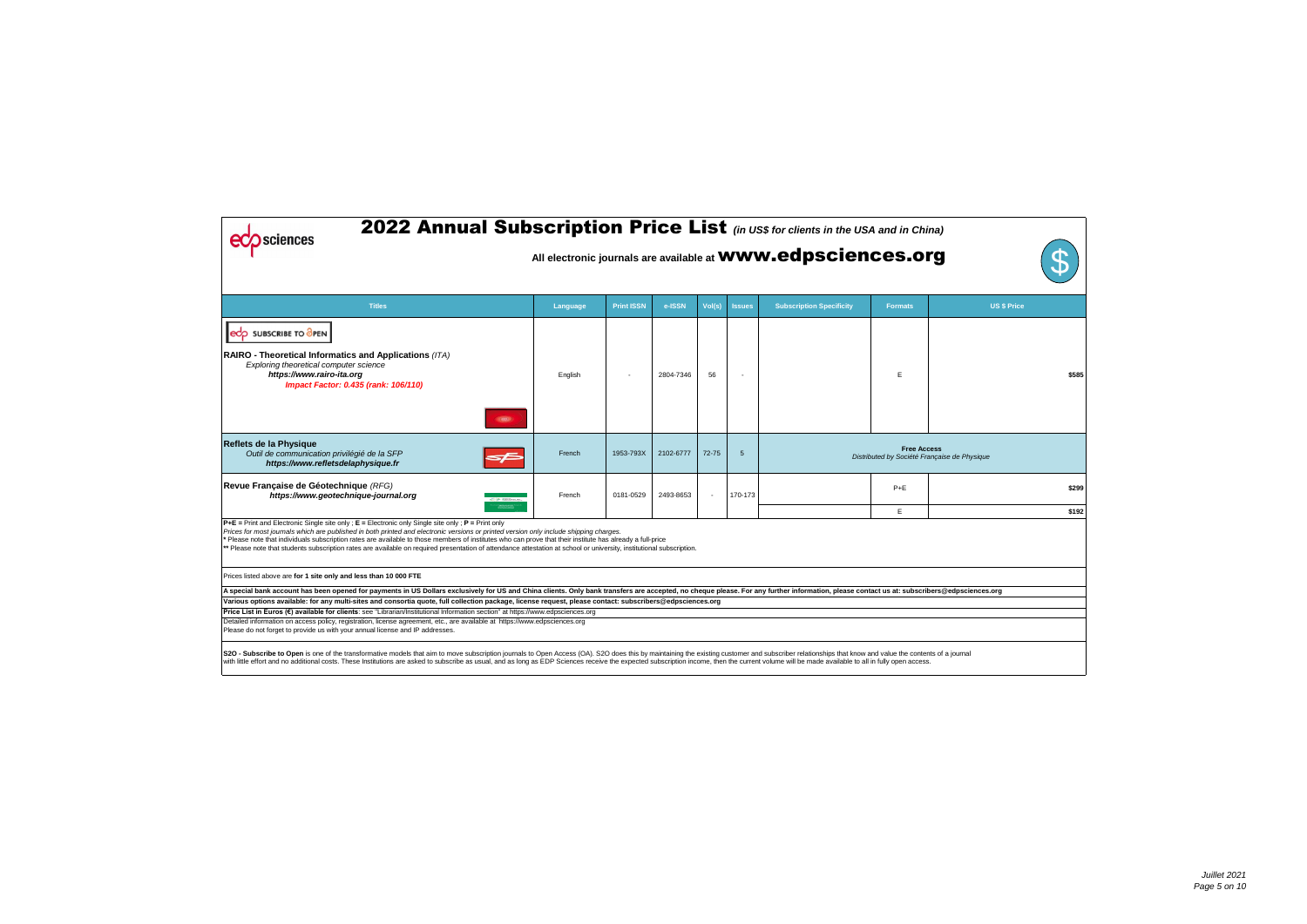| in China)          |                                |       |
|--------------------|--------------------------------|-------|
| s.org              |                                | S     |
| mats               | US \$ Price                    |       |
| E                  |                                | \$585 |
| <b>Free Access</b> | Société Française de Physique  |       |
| +E                 |                                | \$299 |
| E                  |                                | \$192 |
|                    |                                |       |
|                    |                                |       |
|                    | :: subscribers@edpsciences.org |       |
|                    |                                |       |
|                    |                                |       |
| en access.         | the contents of a journal      |       |

| <b>2022 Annual Subscription Price List</b> (in US\$ for clients in the USA and in China)<br>sciences<br>All electronic journals are available at <b>WWW.edpsciences.org</b>                                                                                                                                                                                                                                                                                                                                                                                                                |          |                   |           |           |               |                                 |                    |                                              |       |  |  |
|--------------------------------------------------------------------------------------------------------------------------------------------------------------------------------------------------------------------------------------------------------------------------------------------------------------------------------------------------------------------------------------------------------------------------------------------------------------------------------------------------------------------------------------------------------------------------------------------|----------|-------------------|-----------|-----------|---------------|---------------------------------|--------------------|----------------------------------------------|-------|--|--|
| <b>Titles</b>                                                                                                                                                                                                                                                                                                                                                                                                                                                                                                                                                                              | Language | <b>Print ISSN</b> | e-ISSN    | Vol(s)    | <b>Issues</b> | <b>Subscription Specificity</b> | <b>Formats</b>     | <b>US \$ Price</b>                           |       |  |  |
| eco SUBSCRIBE TO OPEN<br>RAIRO - Theoretical Informatics and Applications (ITA)<br>Exploring theoretical computer science<br>https://www.rairo-ita.org<br>Impact Factor: 0.435 (rank: 106/110)<br>(65)                                                                                                                                                                                                                                                                                                                                                                                     | English  |                   | 2804-7346 | 56        |               |                                 | E                  |                                              | \$585 |  |  |
| Reflets de la Physique<br>Outil de communication privilégié de la SFP<br>⋝Ē<br>https://www.refletsdelaphysique.fr                                                                                                                                                                                                                                                                                                                                                                                                                                                                          | French   | 1953-793X         | 2102-6777 | $72 - 75$ | 5             |                                 | <b>Free Access</b> | Distributed by Société Française de Physique |       |  |  |
| Revue Française de Géotechnique (RFG)<br>https://www.geotechnique-journal.org<br><b>The Secretary</b>                                                                                                                                                                                                                                                                                                                                                                                                                                                                                      | French   | 0181-0529         | 2493-8653 |           | 170-173       |                                 | $P+E$              |                                              | \$299 |  |  |
| $P+E =$ Print and Electronic Single site only ; $E =$ Electronic only Single site only ; $P =$ Print only<br>Prices for most journals which are published in both printed and electronic versions or printed version only include shipping charges.<br>* Please note that individuals subscription rates are available to those members of institutes who can prove that their institute has already a full-price<br>** Please note that students subscription rates are available on required presentation of attendance attestation at school or university, institutional subscription. |          |                   |           |           |               |                                 | E                  |                                              | \$192 |  |  |
| Prices listed above are for 1 site only and less than 10 000 FTE                                                                                                                                                                                                                                                                                                                                                                                                                                                                                                                           |          |                   |           |           |               |                                 |                    |                                              |       |  |  |
| A special bank account has been opened for payments in US Dollars exclusively for US and China clients. Only bank transfers are accepted, no cheque please. For any further information, please contact us at: subscribers@edp                                                                                                                                                                                                                                                                                                                                                             |          |                   |           |           |               |                                 |                    |                                              |       |  |  |
| Various options available: for any multi-sites and consortia quote, full collection package, license request, please contact: subscribers@edpsciences.org                                                                                                                                                                                                                                                                                                                                                                                                                                  |          |                   |           |           |               |                                 |                    |                                              |       |  |  |
| Price List in Euros (€) available for clients: see "Librarian/Institutional Information section" at https://www.edpsciences.org                                                                                                                                                                                                                                                                                                                                                                                                                                                            |          |                   |           |           |               |                                 |                    |                                              |       |  |  |
| Detailed information on access policy, registration, license agreement, etc., are available at https://www.edpsciences.org<br>Please do not forget to provide us with your annual license and IP addresses.                                                                                                                                                                                                                                                                                                                                                                                |          |                   |           |           |               |                                 |                    |                                              |       |  |  |
| S2O - Subscribe to Open is one of the transformative models that aim to move subscription journals to Open Access (OA). S2O does this by maintaining the existing customer and subscriber relationships that know and value th<br>with little effort and no additional costs. These Institutions are asked to subscribe as usual, and as long as EDP Sciences receive the expected subscription income, then the current volume will be made available to all in                                                                                                                           |          |                   |           |           |               |                                 |                    |                                              |       |  |  |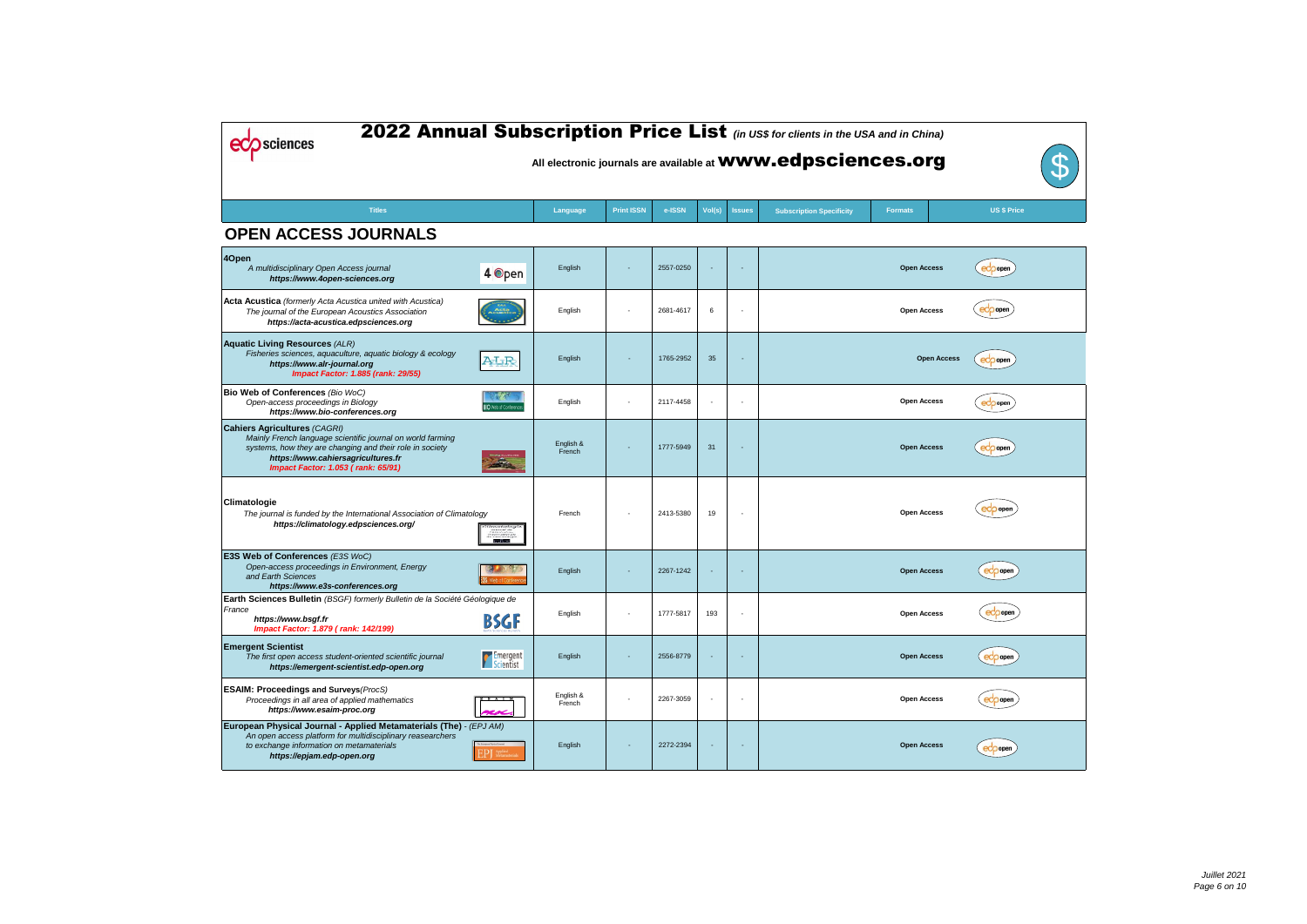| 2022 Annual Subscription Price List (in US\$ for clients in the USA and in China)<br><b>Sciences</b><br>All electronic journals are available at <b>WWW.edpsciences.org</b><br>$\mathcal{P}% _{M_{1},M_{2}}^{\alpha,\beta}(\theta)$       |                              |                     |                          |           |                          |                          |                                 |                    |                    |  |  |
|-------------------------------------------------------------------------------------------------------------------------------------------------------------------------------------------------------------------------------------------|------------------------------|---------------------|--------------------------|-----------|--------------------------|--------------------------|---------------------------------|--------------------|--------------------|--|--|
| <b>Titles</b>                                                                                                                                                                                                                             |                              | Language            | <b>Print ISSN</b>        | e-ISSN    | Vol(s)                   | <b>Issues</b>            | <b>Subscription Specificity</b> | <b>Formats</b>     | <b>US \$ Price</b> |  |  |
| <b>OPEN ACCESS JOURNALS</b>                                                                                                                                                                                                               |                              |                     |                          |           |                          |                          |                                 |                    |                    |  |  |
| 4Open<br>A multidisciplinary Open Access journal<br>https://www.4open-sciences.org                                                                                                                                                        | 4 Open                       | English             |                          | 2557-0250 |                          | $\overline{\phantom{a}}$ |                                 | <b>Open Access</b> | eco open           |  |  |
| <b>Acta Acustica</b> (formerly Acta Acustica united with Acustica)<br>The journal of the European Acoustics Association<br>https://acta-acustica.edpsciences.org                                                                          |                              | English             |                          | 2681-4617 | 6                        |                          |                                 | <b>Open Access</b> | oper               |  |  |
| <b>Aquatic Living Resources (ALR)</b><br>Fisheries sciences, aquaculture, aquatic biology & ecology<br>https://www.alr-journal.org<br><b>Impact Factor: 1.885 (rank: 29/55)</b>                                                           | ALR                          | English             |                          | 1765-2952 | 35                       |                          |                                 | <b>Open Access</b> | eco open           |  |  |
| Bio Web of Conferences (Bio WoC)<br>Open-access proceedings in Biology<br>https://www.bio-conferences.org                                                                                                                                 | <b>BIO</b> Web of Conference | English             | $\overline{\phantom{a}}$ | 2117-4458 |                          | $\overline{\phantom{a}}$ |                                 | <b>Open Access</b> | eco open           |  |  |
| <b>Cahiers Agricultures (CAGRI)</b><br>Mainly French language scientific journal on world farming<br>systems, how they are changing and their role in society<br>https://www.cahiersagricultures.fr<br>Impact Factor: 1.053 (rank: 65/91) |                              | English &<br>French |                          | 1777-5949 | 31                       | $\overline{\phantom{a}}$ |                                 | <b>Open Access</b> | eco open           |  |  |
| Climatologie<br>The journal is funded by the International Association of Climatology<br>https://climatology.edpsciences.org/                                                                                                             | imatolo.<br>-82              | French              |                          | 2413-5380 | 19                       |                          |                                 | <b>Open Access</b> | ecoppen            |  |  |
| E3S Web of Conferences (E3S WoC)<br>Open-access proceedings in Environment, Energy<br>and Earth Sciences<br>https://www.e3s-conferences.org                                                                                               |                              | English             |                          | 2267-1242 | $\overline{\phantom{a}}$ | $\blacksquare$           |                                 | <b>Open Access</b> | <b>edo</b> open    |  |  |
| Earth Sciences Bulletin (BSGF) formerly Bulletin de la Société Géologique de<br>France<br>https://www.bsgf.fr<br>Impact Factor: 1.879 (rank: 142/199)                                                                                     | <b>BSGF</b>                  | English             |                          | 1777-5817 | 193                      |                          |                                 | <b>Open Access</b> | eco open           |  |  |
| <b>Emergent Scientist</b><br>The first open access student-oriented scientific journal<br>https://emergent-scientist.edp-open.org                                                                                                         | Emergent                     | English             |                          | 2556-8779 | $\sim$                   | $\sim$                   |                                 | <b>Open Access</b> | ecoopen            |  |  |
| <b>ESAIM: Proceedings and Surveys (ProcS)</b><br>Proceedings in all area of applied mathematics<br>https://www.esaim-proc.org                                                                                                             | $3$ $A$ $I$<br>ra            | English &<br>French |                          | 2267-3059 |                          |                          |                                 | <b>Open Access</b> | eco open           |  |  |
| European Physical Journal - Applied Metamaterials (The) - (EPJ AM)<br>An open access platform for multidisciplinary reasearchers<br>to exchange information on metamaterials<br>https://epjam.edp-open.org                                | EPJ Applied                  | English             |                          | 2272-2394 |                          |                          |                                 | <b>Open Access</b> | $ec$ popen         |  |  |

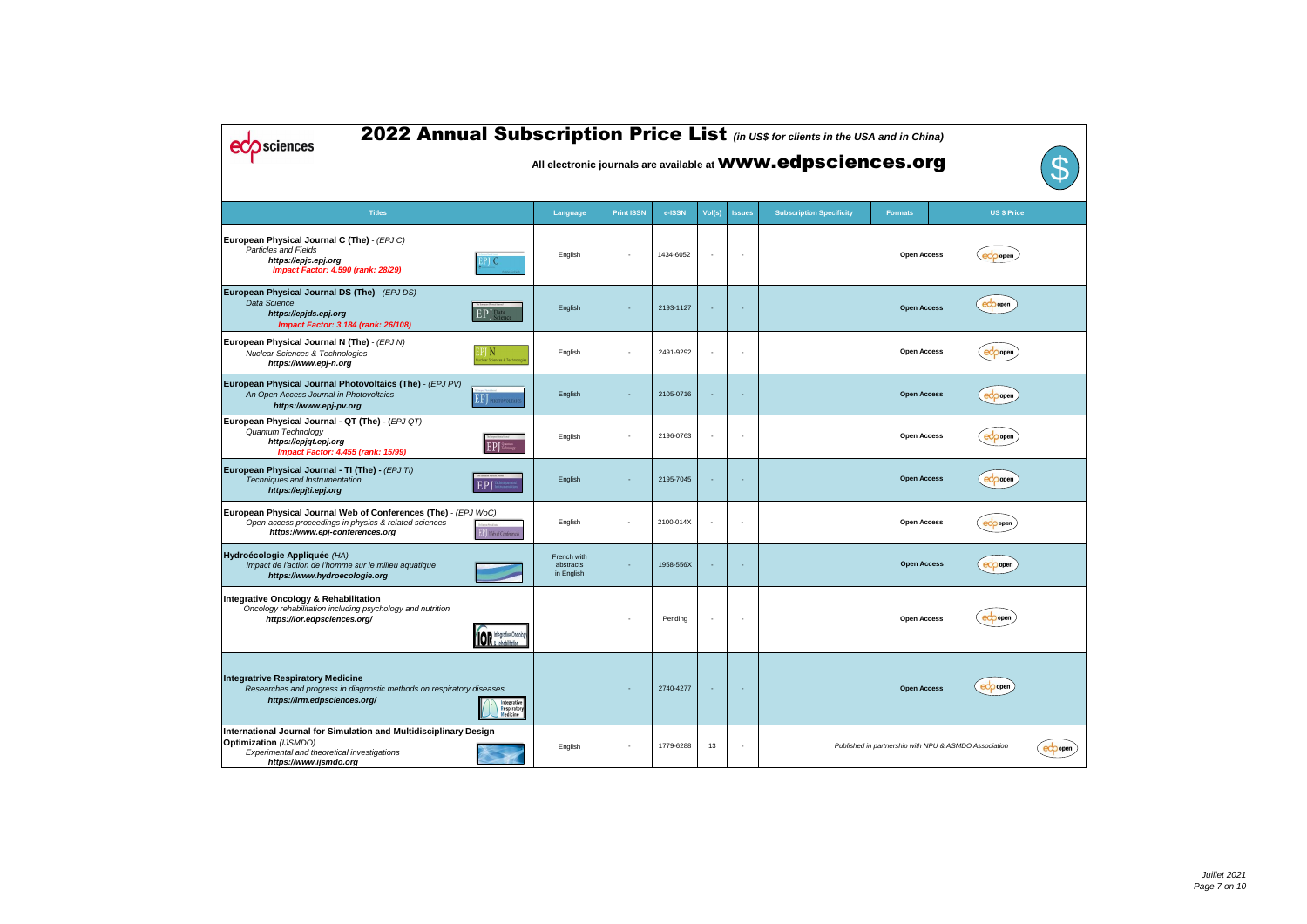| 2022 Annual Subscription Price List (in US\$ for clients in the USA and in China)<br>sciences<br>All electronic journals are available at <b>WWW.edpsciences.org</b><br>${\bf U}$ |                                                 |                                        |                   |           |                          |                          |                                 |                                                       |                    |           |  |
|-----------------------------------------------------------------------------------------------------------------------------------------------------------------------------------|-------------------------------------------------|----------------------------------------|-------------------|-----------|--------------------------|--------------------------|---------------------------------|-------------------------------------------------------|--------------------|-----------|--|
| <b>Titles</b>                                                                                                                                                                     |                                                 | Language                               | <b>Print ISSN</b> | e-ISSN    | Vol(s)                   | <b>Issues</b>            | <b>Subscription Specificity</b> | <b>Formats</b>                                        | <b>US \$ Price</b> |           |  |
| European Physical Journal C (The) - (EPJ C)<br><b>Particles and Fields</b><br>https://epjc.epj.org<br><b>Impact Factor: 4.590 (rank: 28/29)</b>                                   |                                                 | English                                |                   | 1434-6052 |                          |                          |                                 | <b>Open Access</b>                                    | $ecp$ open         |           |  |
| European Physical Journal DS (The) - (EPJ DS)<br>Data Science<br>https://epjds.epj.org<br>Impact Factor: 3.184 (rank: 26/108)                                                     | EPJ Science                                     | English                                |                   | 2193-1127 |                          |                          |                                 | <b>Open Access</b>                                    | ecoopen            |           |  |
| European Physical Journal N (The) - (EPJ N)<br><b>Nuclear Sciences &amp; Technologies</b><br>https://www.epj-n.org                                                                | PJ N<br>lear Sciences & Techno                  | English                                |                   | 2491-9292 |                          | $\overline{\phantom{a}}$ |                                 | <b>Open Access</b>                                    | eco open           |           |  |
| European Physical Journal Photovoltaics (The) - (EPJ PV)<br>An Open Access Journal in Photovoltaics<br>https://www.epj-pv.org                                                     | <b>EP</b> PHOTOVOLTAICS                         | English                                |                   | 2105-0716 |                          |                          |                                 | <b>Open Access</b>                                    | $ec$ popen         |           |  |
| European Physical Journal - QT (The) - (EPJ QT)<br>Quantum Technology<br>https://epjqt.epj.org<br>Impact Factor: 4.455 (rank: 15/99)                                              | The European Physical Jacques<br>EPJ Technology | English                                |                   | 2196-0763 |                          |                          |                                 | <b>Open Access</b>                                    | eco open           |           |  |
| European Physical Journal - TI (The) - (EPJ TI)<br>Techniques and Instrumentation<br>https://epjti.epj.org                                                                        | EPJ                                             | English                                |                   | 2195-7045 |                          |                          |                                 | <b>Open Access</b>                                    | eco open           |           |  |
| European Physical Journal Web of Conferences (The) - (EPJ WoC)<br>Open-access proceedings in physics & related sciences<br>https://www.epj-conferences.org                        | <b>Neb of Conferences</b>                       | English                                |                   | 2100-014X | $\overline{\phantom{a}}$ |                          |                                 | <b>Open Access</b>                                    | eco open           |           |  |
| Hydroécologie Appliquée (HA)<br>Impact de l'action de l'homme sur le milieu aquatique<br>https://www.hydroecologie.org                                                            |                                                 | French with<br>abstracts<br>in English |                   | 1958-556X |                          |                          |                                 | <b>Open Access</b>                                    | ecopen             |           |  |
| <b>Integrative Oncology &amp; Rehabilitation</b><br>Oncology rehabilitation including psychology and nutrition<br>https://ior.edpsciences.org/                                    | <b>IOR</b> Integrative Oncology                 |                                        |                   | Pending   |                          |                          |                                 | <b>Open Access</b>                                    | ecopen             |           |  |
| <b>Integratrive Respiratory Medicine</b><br>Researches and progress in diagnostic methods on respiratory diseases<br>https://irm.edpsciences.org/                                 | Integrative<br>Respiratory<br>Medicine          |                                        |                   | 2740-4277 |                          |                          |                                 | <b>Open Access</b>                                    | ecoppen            |           |  |
| International Journal for Simulation and Multidisciplinary Design<br><b>Optimization</b> (IJSMDO)<br>Experimental and theoretical investigations<br>https://www.ijsmdo.org        |                                                 | English                                |                   | 1779-6288 | 13                       |                          |                                 | Published in partnership with NPU & ASMDO Association |                    | $ec$ pope |  |

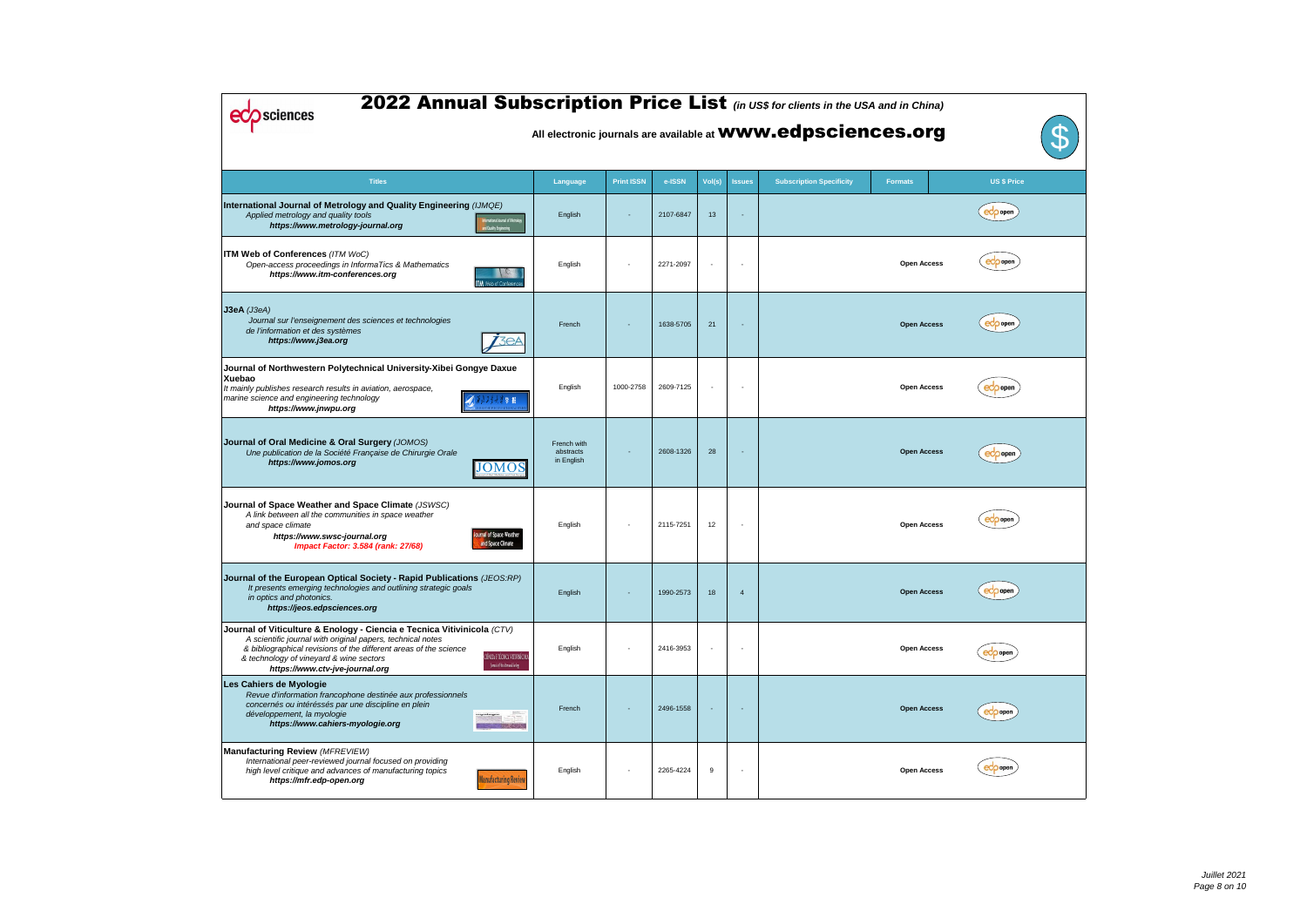| 2022 Annual Subscription Price List (in US\$ for clients in the USA and in China)<br>sciences<br>All electronic journals are available at <b>WWW.edpsciences.org</b>                                                                                                                                                                                    |                                        |                   |           |                          |                |                                 |                    |                    |  |  |  |  |
|---------------------------------------------------------------------------------------------------------------------------------------------------------------------------------------------------------------------------------------------------------------------------------------------------------------------------------------------------------|----------------------------------------|-------------------|-----------|--------------------------|----------------|---------------------------------|--------------------|--------------------|--|--|--|--|
| <b>Titles</b>                                                                                                                                                                                                                                                                                                                                           | Language                               | <b>Print ISSN</b> | e-ISSN    | Vol(s)                   | <b>Issues</b>  | <b>Subscription Specificity</b> | <b>Formats</b>     | <b>US \$ Price</b> |  |  |  |  |
| International Journal of Metrology and Quality Engineering (IJMQE)<br>Applied metrology and quality tools<br>terrational Journal of Metrolog<br>https://www.metrology-journal.org<br><b>End Quality Engineering</b>                                                                                                                                     | English                                |                   | 2107-6847 | 13                       |                |                                 |                    | eco open           |  |  |  |  |
| <b>ITM Web of Conferences (ITM WoC)</b><br>Open-access proceedings in InformaTics & Mathematics<br>https://www.itm-conferences.org<br>TM Web of Conference                                                                                                                                                                                              | English                                |                   | 2271-2097 |                          |                |                                 | <b>Open Access</b> | eco open           |  |  |  |  |
| $J3eA$ ( <i>J3eA</i> )<br>Journal sur l'enseignement des sciences et technologies<br>de l'information et des systèmes<br>3eA<br>https://www.j3ea.org                                                                                                                                                                                                    | French                                 |                   | 1638-5705 | 21                       |                |                                 | <b>Open Access</b> | ecoopen            |  |  |  |  |
| Journal of Northwestern Polytechnical University-Xibei Gongye Daxue<br>Xuebao<br>It mainly publishes research results in aviation, aerospace,<br>marine science and engineering technology<br>三学 报<br>https://www.jnwpu.org                                                                                                                             | English                                | 1000-2758         | 2609-7125 | $\overline{\phantom{a}}$ |                |                                 | <b>Open Access</b> | <b>eCO</b> open    |  |  |  |  |
| Journal of Oral Medicine & Oral Surgery (JOMOS)<br>Une publication de la Société Française de Chirurgie Orale<br>https://www.jomos.org<br><b>JOMOS</b>                                                                                                                                                                                                  | French with<br>abstracts<br>in English |                   | 2608-1326 | 28                       |                |                                 | <b>Open Access</b> | ecoopen            |  |  |  |  |
| Journal of Space Weather and Space Climate (JSWSC)<br>A link between all the communities in space weather<br>and space climate<br>nal of Space Weather<br>https://www.swsc-journal.org<br>and Space Climate<br><b>Impact Factor: 3.584 (rank: 27/68)</b>                                                                                                | English                                |                   | 2115-7251 | 12                       |                |                                 | <b>Open Access</b> | eco open           |  |  |  |  |
| Journal of the European Optical Society - Rapid Publications (JEOS:RP)<br>It presents emerging technologies and outlining strategic goals<br>in optics and photonics.<br>https://jeos.edpsciences.org                                                                                                                                                   | English                                |                   | 1990-2573 | 18                       | $\overline{4}$ |                                 | <b>Open Access</b> | eco open           |  |  |  |  |
| Journal of Viticulture & Enology - Ciencia e Tecnica Vitivinicola (CTV)<br>A scientific journal with original papers, technical notes<br>& bibliographical revisions of the different areas of the science<br>CIÈNCIA E TÉCNICA VITIVINÍCOLA<br>& technology of vineyard & wine sectors<br>Jana's Fhinitee of Deleg-<br>https://www.ctv-jve-journal.org | English                                |                   | 2416-3953 | $\overline{\phantom{a}}$ |                |                                 | <b>Open Access</b> | eCO oper           |  |  |  |  |
| Les Cahiers de Myologie<br>Revue d'information francophone destinée aux professionnels<br>concernés ou intéréssés par une discipline en plein<br>développement, la myologie<br>https://www.cahiers-myologie.org                                                                                                                                         | French                                 |                   | 2496-1558 |                          |                |                                 | <b>Open Access</b> | eco open           |  |  |  |  |
| Manufacturing Review (MFREVIEW)<br>International peer-reviewed journal focused on providing<br>high level critique and advances of manufacturing topics<br><b>Hanufacturing Review</b><br>https://mfr.edp-open.org                                                                                                                                      | English                                |                   | 2265-4224 | 9                        |                |                                 | <b>Open Access</b> |                    |  |  |  |  |

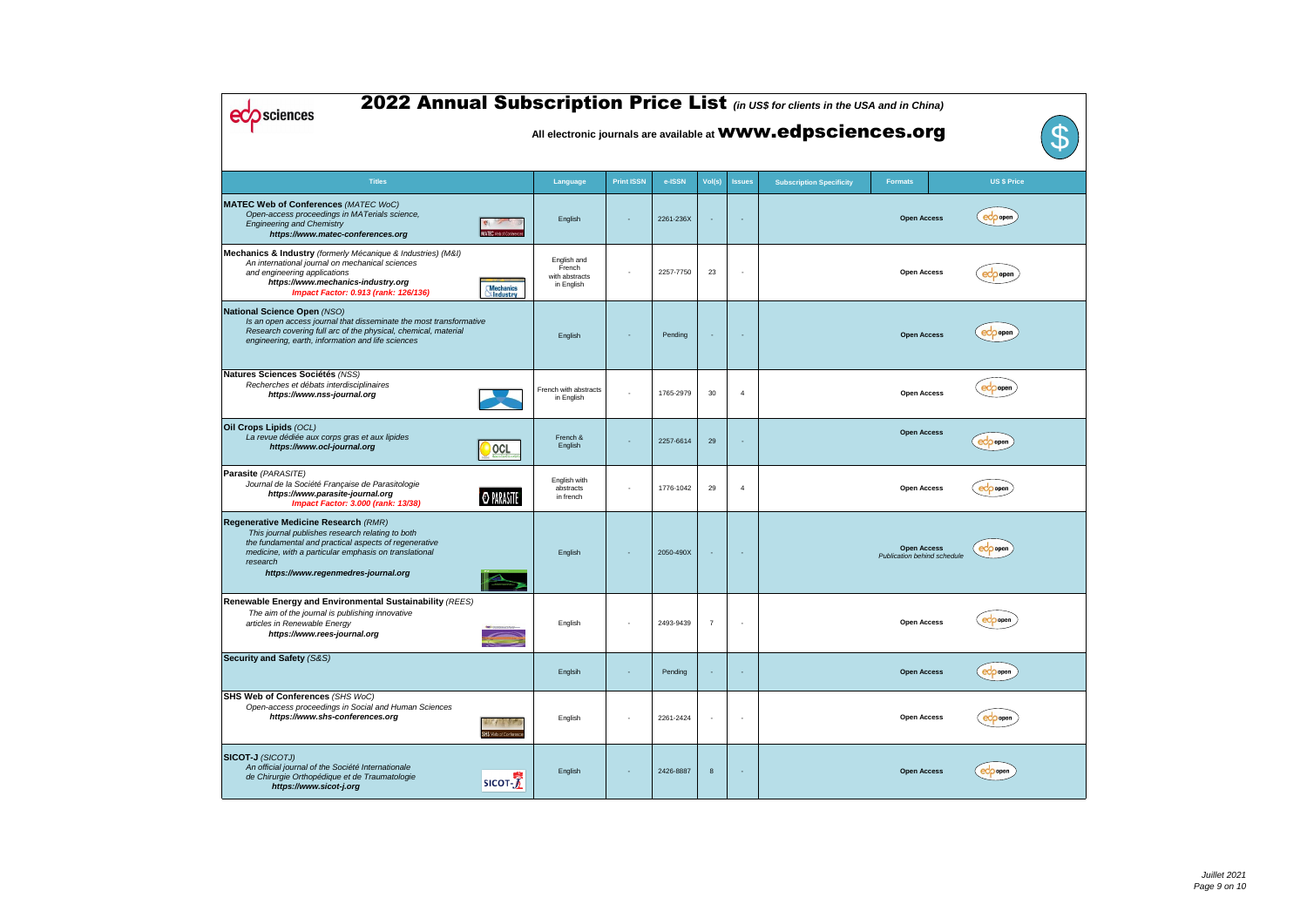| 2022 Annual Subscription Price List (in US\$ for clients in the USA and in China)<br>sciences<br>$\mathbf{T}$<br>All electronic journals are available at <b>WWW.edpsciences.org</b>                                                                          |                                      |                                                       |                   |           |                          |                          |                                 |                                                          |                    |  |  |  |
|---------------------------------------------------------------------------------------------------------------------------------------------------------------------------------------------------------------------------------------------------------------|--------------------------------------|-------------------------------------------------------|-------------------|-----------|--------------------------|--------------------------|---------------------------------|----------------------------------------------------------|--------------------|--|--|--|
| <b>Titles</b>                                                                                                                                                                                                                                                 |                                      | Language                                              | <b>Print ISSN</b> | e-ISSN    | Vol(s)                   | <b>Issues</b>            | <b>Subscription Specificity</b> | <b>Formats</b>                                           | <b>US \$ Price</b> |  |  |  |
| <b>MATEC Web of Conferences (MATEC WoC)</b><br>Open-access proceedings in MATerials science,<br><b>Engineering and Chemistry</b><br>https://www.matec-conferences.org                                                                                         | MATEC Web of Conterent               | English                                               |                   | 2261-236X | $\overline{\phantom{a}}$ | $\overline{\phantom{a}}$ |                                 | <b>Open Access</b>                                       | $ec$ popen         |  |  |  |
| Mechanics & Industry (formerly Mécanique & Industries) (M&I)<br>An international journal on mechanical sciences<br>and engineering applications<br>https://www.mechanics-industry.org<br>Impact Factor: 0.913 (rank: 126/136)                                 | <b>Mechanics</b><br><b>NIndustry</b> | English and<br>French<br>with abstracts<br>in English |                   | 2257-7750 | 23                       | $\overline{\phantom{a}}$ |                                 | <b>Open Access</b>                                       | eco open           |  |  |  |
| National Science Open (NSO)<br>Is an open access journal that disseminate the most transformative<br>Research covering full arc of the physical, chemical, material<br>engineering, earth, information and life sciences                                      |                                      | English                                               |                   | Pending   |                          |                          |                                 | <b>Open Access</b>                                       | ecoopen            |  |  |  |
| Natures Sciences Sociétés (NSS)<br>Recherches et débats interdisciplinaires<br>https://www.nss-journal.org                                                                                                                                                    |                                      | French with abstracts<br>in English                   |                   | 1765-2979 | 30                       | $\overline{4}$           |                                 | <b>Open Access</b>                                       | eCo open           |  |  |  |
| Oil Crops Lipids (OCL)<br>La revue dédiée aux corps gras et aux lipides<br>https://www.ocl-journal.org                                                                                                                                                        | OCL                                  | French &<br>English                                   |                   | 2257-6614 | 29                       |                          |                                 | <b>Open Access</b>                                       | eco open           |  |  |  |
| Parasite (PARASITE)<br>Journal de la Société Française de Parasitologie<br>https://www.parasite-journal.org<br><b>Impact Factor: 3.000 (rank: 13/38)</b>                                                                                                      | <b>O PARASTE</b>                     | English with<br>abstracts<br>in french                |                   | 1776-1042 | 29                       | $\overline{4}$           |                                 | <b>Open Access</b>                                       | eco open           |  |  |  |
| Regenerative Medicine Research (RMR)<br>This journal publishes research relating to both<br>the fundamental and practical aspects of regenerative<br>medicine, with a particular emphasis on translational<br>research<br>https://www.regenmedres-journal.org |                                      | English                                               |                   | 2050-490X |                          |                          |                                 | <b>Open Access</b><br><b>Publication behind schedule</b> | eco open           |  |  |  |
| Renewable Energy and Environmental Sustainability (REES)<br>The aim of the journal is publishing innovative<br>articles in Renewable Energy<br>https://www.rees-journal.org                                                                                   |                                      | English                                               |                   | 2493-9439 | $\overline{7}$           |                          |                                 | <b>Open Access</b>                                       | eCO open           |  |  |  |
| Security and Safety (S&S)                                                                                                                                                                                                                                     |                                      | Englsih                                               |                   | Pending   |                          |                          |                                 | <b>Open Access</b>                                       | eco open           |  |  |  |
| SHS Web of Conferences (SHS WoC)<br>Open-access proceedings in Social and Human Sciences<br>https://www.shs-conferences.org                                                                                                                                   | SHS Web of Conference                | English                                               |                   | 2261-2424 | $\overline{\phantom{a}}$ |                          |                                 | <b>Open Access</b>                                       | eco open           |  |  |  |
| <b>SICOT-J</b> (SICOTJ)<br>An official journal of the Société Internationale<br>de Chirurgie Orthopédique et de Traumatologie<br>https://www.sicot-j.org                                                                                                      | SICOT-                               | English                                               |                   | 2426-8887 | 8                        |                          |                                 | <b>Open Access</b>                                       | eco open           |  |  |  |